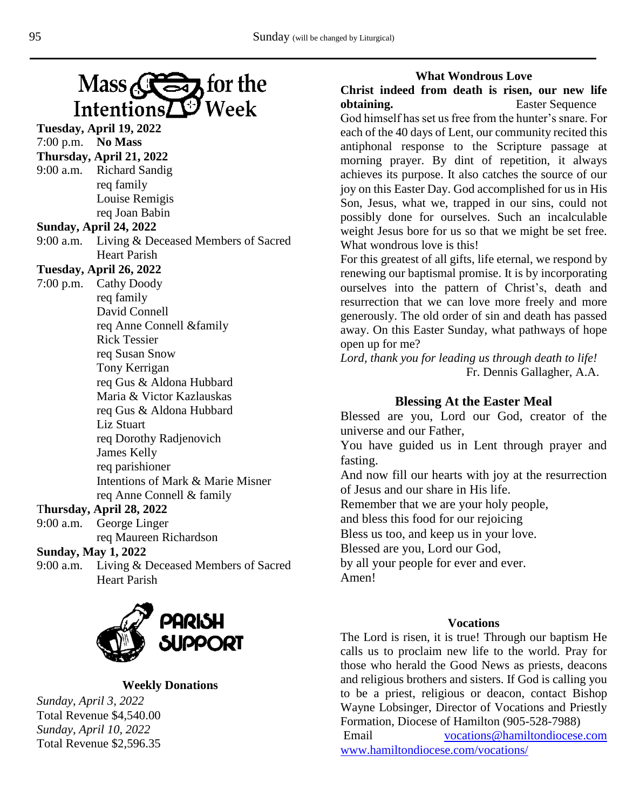# $Mass \left( \sum 3 \right)$  for the Week IntentionsZ Œ

**Tuesday, April 19, 2022** 7:00 p.m. **No Mass Thursday, April 21, 2022** 9:00 a.m. Richard Sandig req family Louise Remigis req Joan Babin **Sunday, April 24, 2022** 9:00 a.m. Living & Deceased Members of Sacred Heart Parish **Tuesday, April 26, 2022** 7:00 p.m. Cathy Doody req family David Connell req Anne Connell &family Rick Tessier req Susan Snow Tony Kerrigan req Gus & Aldona Hubbard Maria & Victor Kazlauskas req Gus & Aldona Hubbard Liz Stuart req Dorothy Radjenovich James Kelly req parishioner Intentions of Mark & Marie Misner req Anne Connell & family T**hursday, April 28, 2022** 9:00 a.m. George Linger

# req Maureen Richardson

# **Sunday, May 1, 2022**

9:00 a.m. Living & Deceased Members of Sacred Heart Parish



## **Weekly Donations**

*Sunday, April 3, 2022* Total Revenue \$4,540.00 *Sunday, April 10, 2022* Total Revenue \$2,596.35

#### **What Wondrous Love**

**Christ indeed from death is risen, our new life obtaining.** Easter Sequence

God himself has set us free from the hunter's snare. For each of the 40 days of Lent, our community recited this antiphonal response to the Scripture passage at morning prayer. By dint of repetition, it always achieves its purpose. It also catches the source of our joy on this Easter Day. God accomplished for us in His Son, Jesus, what we, trapped in our sins, could not possibly done for ourselves. Such an incalculable weight Jesus bore for us so that we might be set free. What wondrous love is this!

For this greatest of all gifts, life eternal, we respond by renewing our baptismal promise. It is by incorporating ourselves into the pattern of Christ's, death and resurrection that we can love more freely and more generously. The old order of sin and death has passed away. On this Easter Sunday, what pathways of hope open up for me?

*Lord, thank you for leading us through death to life!* Fr. Dennis Gallagher, A.A.

## **Blessing At the Easter Meal**

Blessed are you, Lord our God, creator of the universe and our Father,

You have guided us in Lent through prayer and fasting.

And now fill our hearts with joy at the resurrection of Jesus and our share in His life.

Remember that we are your holy people,

and bless this food for our rejoicing

Bless us too, and keep us in your love.

Blessed are you, Lord our God,

by all your people for ever and ever. Amen!

### **Vocations**

The Lord is risen, it is true! Through our baptism He calls us to proclaim new life to the world. Pray for those who herald the Good News as priests, deacons and religious brothers and sisters. If God is calling you to be a priest, religious or deacon, contact Bishop Wayne Lobsinger, Director of Vocations and Priestly Formation, Diocese of Hamilton (905-528-7988)

Email [vocations@hamiltondiocese.com](mailto:vocations@hamiltondiocese.com)  [www.hamiltondiocese.com/vocations/](http://www.hamiltondiocese.com/vocations/)